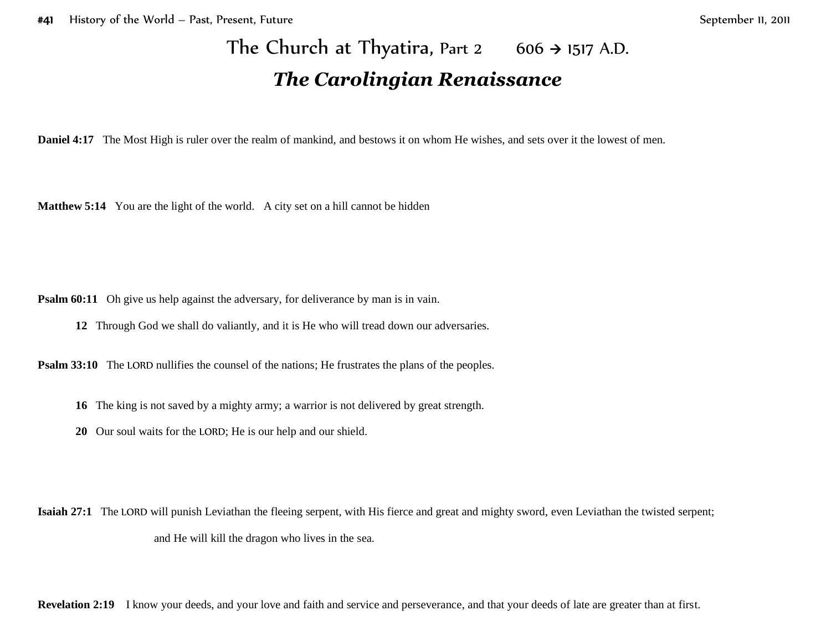## The Church at Thyatira, Part 2  $606 \rightarrow 1517$  A.D. *The Carolingian Renaissance*

**Daniel 4:17** The Most High is ruler over the realm of mankind, and bestows it on whom He wishes, and sets over it the lowest of men.

**Matthew 5:14** You are the light of the world. A city set on a hill cannot be hidden

**Psalm 60:11** Oh give us help against the adversary, for deliverance by man is in vain.

**12** Through God we shall do valiantly, and it is He who will tread down our adversaries.

**Psalm 33:10** The LORD nullifies the counsel of the nations; He frustrates the plans of the peoples.

- **16** The king is not saved by a mighty army; a warrior is not delivered by great strength.
- **20** Our soul waits for the LORD; He is our help and our shield.

**Isaiah 27:1** The LORD will punish Leviathan the fleeing serpent, with His fierce and great and mighty sword, even Leviathan the twisted serpent; and He will kill the dragon who lives in the sea.

**Revelation 2:19** I know your deeds, and your love and faith and service and perseverance, and that your deeds of late are greater than at first.